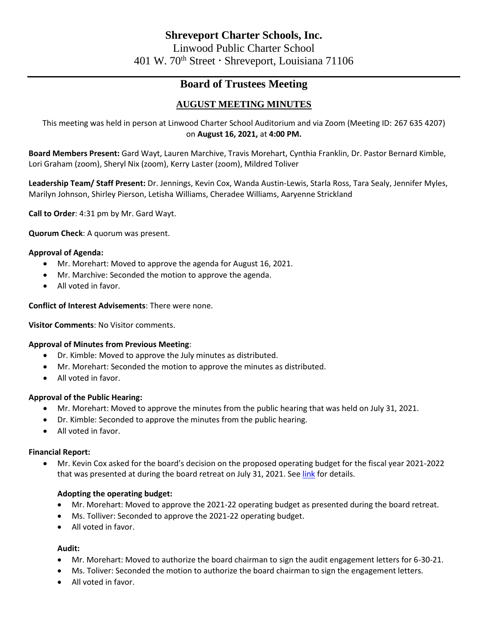# **Board of Trustees Meeting**

## **AUGUST MEETING MINUTES**

This meeting was held in person at Linwood Charter School Auditorium and via Zoom (Meeting ID: 267 635 4207) on **August 16, 2021,** at **4:00 PM.**

**Board Members Present:** Gard Wayt, Lauren Marchive, Travis Morehart, Cynthia Franklin, Dr. Pastor Bernard Kimble, Lori Graham (zoom), Sheryl Nix (zoom), Kerry Laster (zoom), Mildred Toliver

**Leadership Team/ Staff Present:** Dr. Jennings, Kevin Cox, Wanda Austin-Lewis, Starla Ross, Tara Sealy, Jennifer Myles, Marilyn Johnson, Shirley Pierson, Letisha Williams, Cheradee Williams, Aaryenne Strickland

**Call to Order**: 4:31 pm by Mr. Gard Wayt.

**Quorum Check**: A quorum was present.

## **Approval of Agenda:**

- Mr. Morehart: Moved to approve the agenda for August 16, 2021.
- Mr. Marchive: Seconded the motion to approve the agenda.
- All voted in favor.

## **Conflict of Interest Advisements**: There were none.

**Visitor Comments**: No Visitor comments.

## **Approval of Minutes from Previous Meeting**:

- Dr. Kimble: Moved to approve the July minutes as distributed.
- Mr. Morehart: Seconded the motion to approve the minutes as distributed.
- All voted in favor.

## **Approval of the Public Hearing:**

- Mr. Morehart: Moved to approve the minutes from the public hearing that was held on July 31, 2021.
- Dr. Kimble: Seconded to approve the minutes from the public hearing.
- All voted in favor.

## **Financial Report:**

• Mr. Kevin Cox asked for the board's decision on the proposed operating budget for the fiscal year 2021-2022 that was presented at during the board retreat on July 31, 2021. Se[e link](file:///C:/Users/cwilliams/OneDrive%20-%20Linwood%20Public%20Charter%20School/Board%20Meetings/Finance%20Report/Linwood%20Proposed%20Budget%20FY22.pdf) for details.

## **Adopting the operating budget:**

- Mr. Morehart: Moved to approve the 2021-22 operating budget as presented during the board retreat.
- Ms. Tolliver: Seconded to approve the 2021-22 operating budget.
- All voted in favor.

## **Audit:**

- Mr. Morehart: Moved to authorize the board chairman to sign the audit engagement letters for 6-30-21.
- Ms. Toliver: Seconded the motion to authorize the board chairman to sign the engagement letters.
- All voted in favor.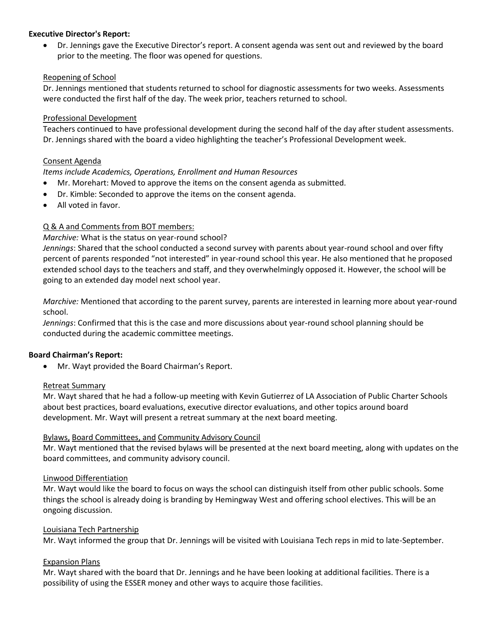## **Executive Director's Report:**

• Dr. Jennings gave the Executive Director's report. A consent agenda was sent out and reviewed by the board prior to the meeting. The floor was opened for questions.

## Reopening of School

Dr. Jennings mentioned that students returned to school for diagnostic assessments for two weeks. Assessments were conducted the first half of the day. The week prior, teachers returned to school.

## Professional Development

Teachers continued to have professional development during the second half of the day after student assessments. Dr. Jennings shared with the board a video highlighting the teacher's Professional Development week.

## Consent Agenda

## *Items include Academics, Operations, Enrollment and Human Resources*

- Mr. Morehart: Moved to approve the items on the consent agenda as submitted.
- Dr. Kimble: Seconded to approve the items on the consent agenda.
- All voted in favor.

## Q & A and Comments from BOT members:

## *Marchive:* What is the status on year-round school?

*Jennings*: Shared that the school conducted a second survey with parents about year-round school and over fifty percent of parents responded "not interested" in year-round school this year. He also mentioned that he proposed extended school days to the teachers and staff, and they overwhelmingly opposed it. However, the school will be going to an extended day model next school year.

*Marchive:* Mentioned that according to the parent survey, parents are interested in learning more about year-round school.

*Jennings*: Confirmed that this is the case and more discussions about year-round school planning should be conducted during the academic committee meetings.

## **Board Chairman's Report:**

• Mr. Wayt provided the Board Chairman's Report.

## Retreat Summary

Mr. Wayt shared that he had a follow-up meeting with Kevin Gutierrez of LA Association of Public Charter Schools about best practices, board evaluations, executive director evaluations, and other topics around board development. Mr. Wayt will present a retreat summary at the next board meeting.

## Bylaws, Board Committees, and Community Advisory Council

Mr. Wayt mentioned that the revised bylaws will be presented at the next board meeting, along with updates on the board committees, and community advisory council.

## Linwood Differentiation

Mr. Wayt would like the board to focus on ways the school can distinguish itself from other public schools. Some things the school is already doing is branding by Hemingway West and offering school electives. This will be an ongoing discussion.

## Louisiana Tech Partnership

Mr. Wayt informed the group that Dr. Jennings will be visited with Louisiana Tech reps in mid to late-September.

## Expansion Plans

Mr. Wayt shared with the board that Dr. Jennings and he have been looking at additional facilities. There is a possibility of using the ESSER money and other ways to acquire those facilities.